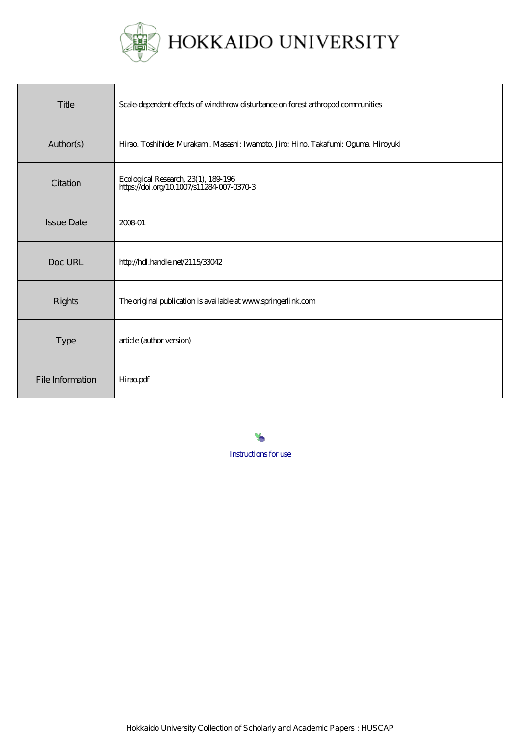

| Title             | Scale dependent effects of windthrow disturbance on forest arthropod communities    |
|-------------------|-------------------------------------------------------------------------------------|
| Author(s)         | Hirao, Toshihide; Murakami, Masashi; Iwamoto, Jiro; Himo, Takafumi; Oguma, Hiroyuki |
| Citation          | Ecological Research, 23(1), 189-196<br>https://doi.org/10.1007/s11284-007-0370-3    |
| <b>Issue Date</b> | 200801                                                                              |
| Doc URL           | http://hdl.handle.net/2115/33042                                                    |
| Rights            | The original publication is available at www.springerlink.com                       |
| <b>Type</b>       | article (author version)                                                            |
| File Information  | Hiraopdf                                                                            |

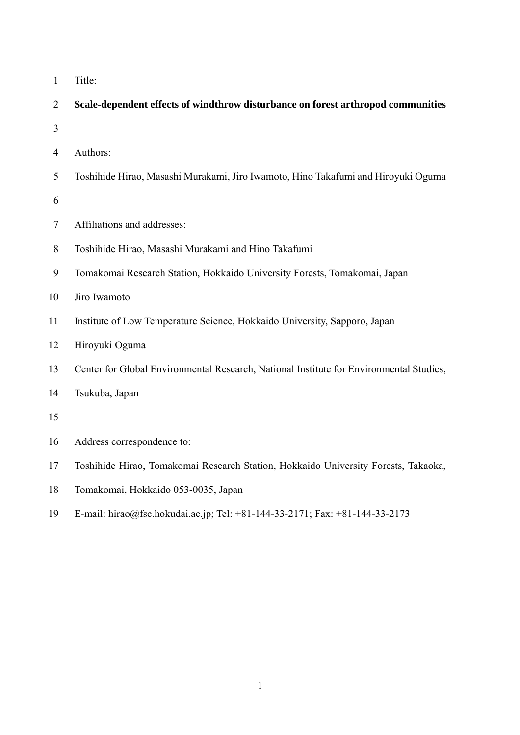| Title: |
|--------|
|        |

| $\overline{2}$ | Scale-dependent effects of windthrow disturbance on forest arthropod communities        |
|----------------|-----------------------------------------------------------------------------------------|
| 3              |                                                                                         |
| 4              | Authors:                                                                                |
| 5              | Toshihide Hirao, Masashi Murakami, Jiro Iwamoto, Hino Takafumi and Hiroyuki Oguma       |
| 6              |                                                                                         |
| 7              | Affiliations and addresses:                                                             |
| 8              | Toshihide Hirao, Masashi Murakami and Hino Takafumi                                     |
| 9              | Tomakomai Research Station, Hokkaido University Forests, Tomakomai, Japan               |
| 10             | Jiro Iwamoto                                                                            |
| 11             | Institute of Low Temperature Science, Hokkaido University, Sapporo, Japan               |
| 12             | Hiroyuki Oguma                                                                          |
| 13             | Center for Global Environmental Research, National Institute for Environmental Studies, |
| 14             | Tsukuba, Japan                                                                          |
| 15             |                                                                                         |
| 16             | Address correspondence to:                                                              |
| 17             | Toshihide Hirao, Tomakomai Research Station, Hokkaido University Forests, Takaoka,      |
| 18             | Tomakomai, Hokkaido 053-0035, Japan                                                     |
| 19             | E-mail: hirao@fsc.hokudai.ac.jp; Tel: +81-144-33-2171; Fax: +81-144-33-2173             |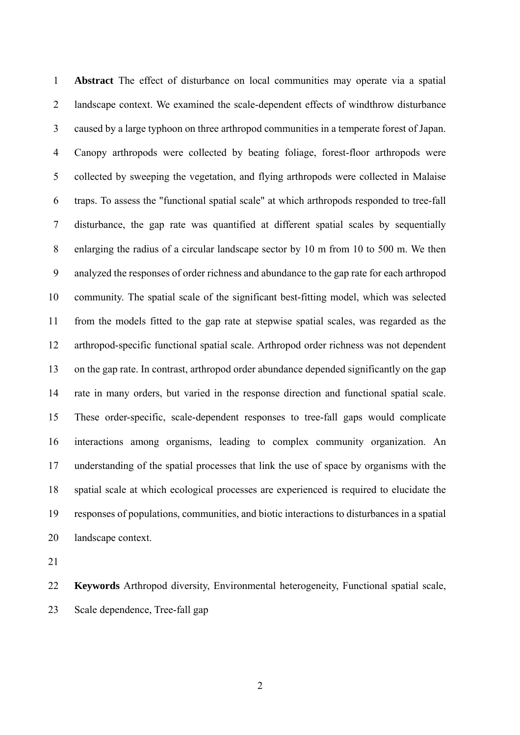**Abstract** The effect of disturbance on local communities may operate via a spatial landscape context. We examined the scale-dependent effects of windthrow disturbance caused by a large typhoon on three arthropod communities in a temperate forest of Japan. Canopy arthropods were collected by beating foliage, forest-floor arthropods were collected by sweeping the vegetation, and flying arthropods were collected in Malaise traps. To assess the "functional spatial scale" at which arthropods responded to tree-fall disturbance, the gap rate was quantified at different spatial scales by sequentially enlarging the radius of a circular landscape sector by 10 m from 10 to 500 m. We then analyzed the responses of order richness and abundance to the gap rate for each arthropod community. The spatial scale of the significant best-fitting model, which was selected from the models fitted to the gap rate at stepwise spatial scales, was regarded as the arthropod-specific functional spatial scale. Arthropod order richness was not dependent on the gap rate. In contrast, arthropod order abundance depended significantly on the gap rate in many orders, but varied in the response direction and functional spatial scale. These order-specific, scale-dependent responses to tree-fall gaps would complicate interactions among organisms, leading to complex community organization. An understanding of the spatial processes that link the use of space by organisms with the spatial scale at which ecological processes are experienced is required to elucidate the responses of populations, communities, and biotic interactions to disturbances in a spatial landscape context. 1 2 3 4 5 6 7 8 9 10 11 12 13 14 15 16 17 18 19 20

21

22 23 **Keywords** Arthropod diversity, Environmental heterogeneity, Functional spatial scale, Scale dependence, Tree-fall gap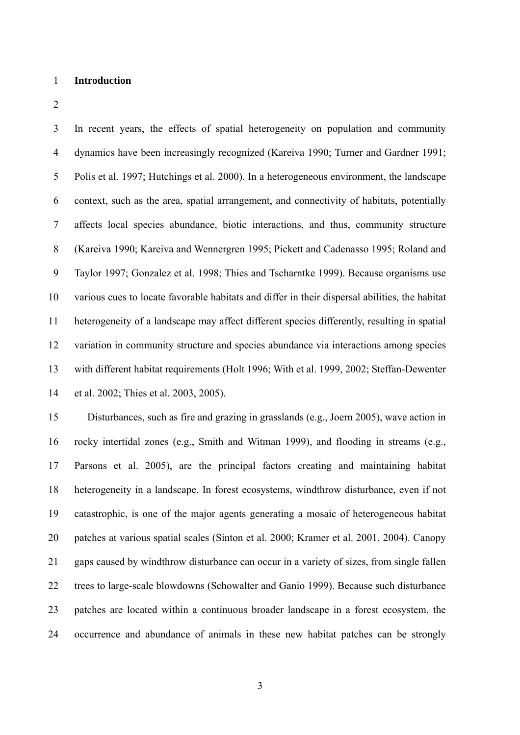## 1 **Introduction**

2

3 4 5 6 7 8 9 10 11 12 13 14 In recent years, the effects of spatial heterogeneity on population and community dynamics have been increasingly recognized (Kareiva 1990; Turner and Gardner 1991; Polis et al. 1997; Hutchings et al. 2000). In a heterogeneous environment, the landscape context, such as the area, spatial arrangement, and connectivity of habitats, potentially affects local species abundance, biotic interactions, and thus, community structure (Kareiva 1990; Kareiva and Wennergren 1995; Pickett and Cadenasso 1995; Roland and Taylor 1997; Gonzalez et al. 1998; Thies and Tscharntke 1999). Because organisms use various cues to locate favorable habitats and differ in their dispersal abilities, the habitat heterogeneity of a landscape may affect different species differently, resulting in spatial variation in community structure and species abundance via interactions among species with different habitat requirements (Holt 1996; With et al. 1999, 2002; Steffan-Dewenter et al. 2002; Thies et al. 2003, 2005).

15 16 17 18 19 20 21 22 23 24 Disturbances, such as fire and grazing in grasslands (e.g., Joern 2005), wave action in rocky intertidal zones (e.g., Smith and Witman 1999), and flooding in streams (e.g., Parsons et al. 2005), are the principal factors creating and maintaining habitat heterogeneity in a landscape. In forest ecosystems, windthrow disturbance, even if not catastrophic, is one of the major agents generating a mosaic of heterogeneous habitat patches at various spatial scales (Sinton et al. 2000; Kramer et al. 2001, 2004). Canopy gaps caused by windthrow disturbance can occur in a variety of sizes, from single fallen trees to large-scale blowdowns (Schowalter and Ganio 1999). Because such disturbance patches are located within a continuous broader landscape in a forest ecosystem, the occurrence and abundance of animals in these new habitat patches can be strongly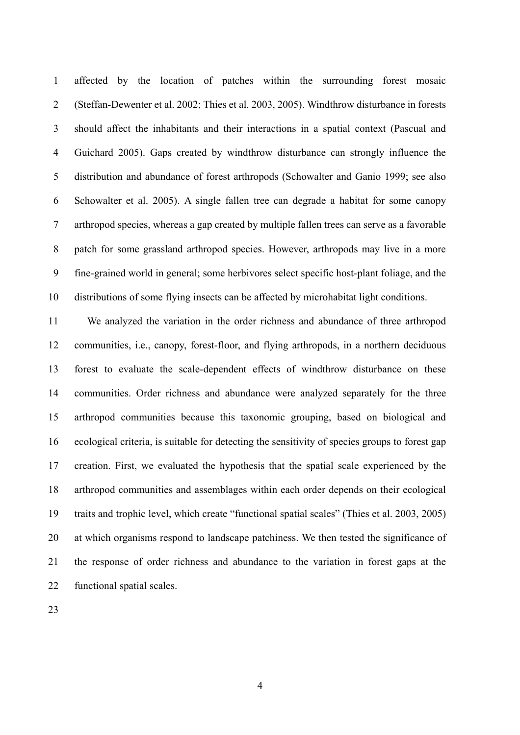1 2 3 4 5 6 7 8 9 10 affected by the location of patches within the surrounding forest mosaic (Steffan-Dewenter et al. 2002; Thies et al. 2003, 2005). Windthrow disturbance in forests should affect the inhabitants and their interactions in a spatial context (Pascual and Guichard 2005). Gaps created by windthrow disturbance can strongly influence the distribution and abundance of forest arthropods (Schowalter and Ganio 1999; see also Schowalter et al. 2005). A single fallen tree can degrade a habitat for some canopy arthropod species, whereas a gap created by multiple fallen trees can serve as a favorable patch for some grassland arthropod species. However, arthropods may live in a more fine-grained world in general; some herbivores select specific host-plant foliage, and the distributions of some flying insects can be affected by microhabitat light conditions.

11 12 13 14 15 16 17 18 19 20 21 22 We analyzed the variation in the order richness and abundance of three arthropod communities, i.e., canopy, forest-floor, and flying arthropods, in a northern deciduous forest to evaluate the scale-dependent effects of windthrow disturbance on these communities. Order richness and abundance were analyzed separately for the three arthropod communities because this taxonomic grouping, based on biological and ecological criteria, is suitable for detecting the sensitivity of species groups to forest gap creation. First, we evaluated the hypothesis that the spatial scale experienced by the arthropod communities and assemblages within each order depends on their ecological traits and trophic level, which create "functional spatial scales" (Thies et al. 2003, 2005) at which organisms respond to landscape patchiness. We then tested the significance of the response of order richness and abundance to the variation in forest gaps at the functional spatial scales.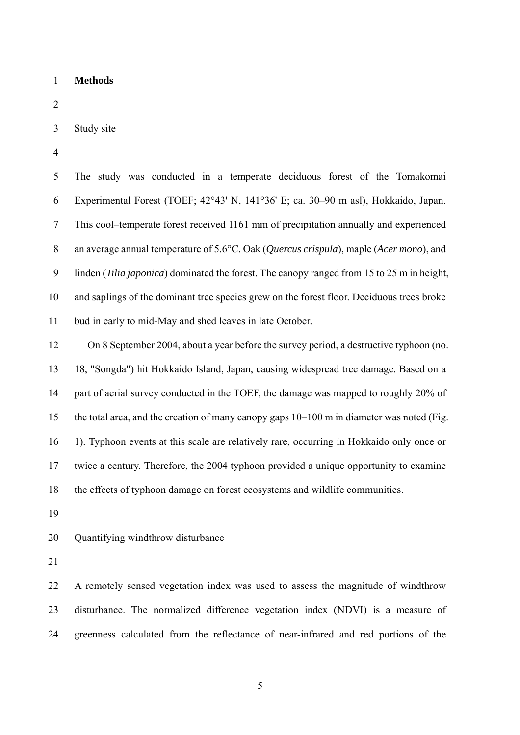1 **Methods** 

2

- 3 Study site
- 4

5 6 7 8 9 10 11 The study was conducted in a temperate deciduous forest of the Tomakomai Experimental Forest (TOEF; 42°43' N, 141°36' E; ca. 30–90 m asl), Hokkaido, Japan. This cool–temperate forest received 1161 mm of precipitation annually and experienced an average annual temperature of 5.6°C. Oak (*Quercus crispula*), maple (*Acer mono*), and linden (*Tilia japonica*) dominated the forest. The canopy ranged from 15 to 25 m in height, and saplings of the dominant tree species grew on the forest floor. Deciduous trees broke bud in early to mid-May and shed leaves in late October.

12 13 14 15 16 17 18 On 8 September 2004, about a year before the survey period, a destructive typhoon (no. 18, "Songda") hit Hokkaido Island, Japan, causing widespread tree damage. Based on a part of aerial survey conducted in the TOEF, the damage was mapped to roughly 20% of the total area, and the creation of many canopy gaps 10–100 m in diameter was noted (Fig. 1). Typhoon events at this scale are relatively rare, occurring in Hokkaido only once or twice a century. Therefore, the 2004 typhoon provided a unique opportunity to examine the effects of typhoon damage on forest ecosystems and wildlife communities.

19

20 Quantifying windthrow disturbance

21

22 23 24 A remotely sensed vegetation index was used to assess the magnitude of windthrow disturbance. The normalized difference vegetation index (NDVI) is a measure of greenness calculated from the reflectance of near-infrared and red portions of the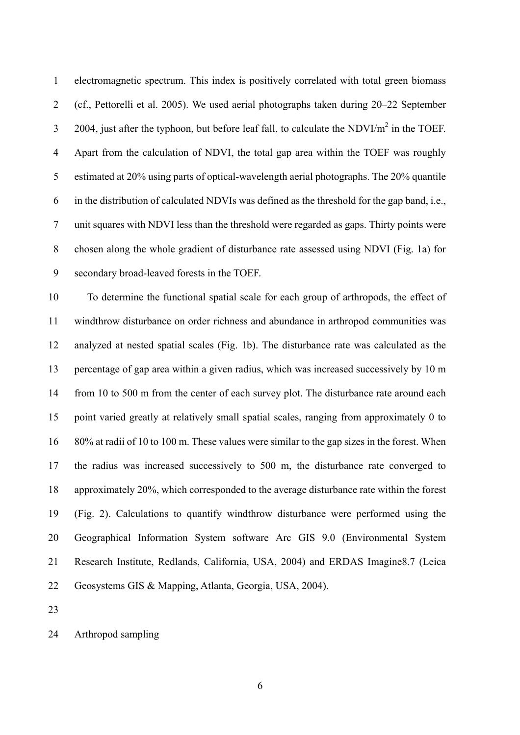electromagnetic spectrum. This index is positively correlated with total green biomass (cf., Pettorelli et al. 2005). We used aerial photographs taken during 20–22 September 2004, just after the typhoon, but before leaf fall, to calculate the NDVI/ $m^2$  in the TOEF. 1 2 3 4 5 6 7 8 9 Apart from the calculation of NDVI, the total gap area within the TOEF was roughly estimated at 20% using parts of optical-wavelength aerial photographs. The 20% quantile in the distribution of calculated NDVIs was defined as the threshold for the gap band, i.e., unit squares with NDVI less than the threshold were regarded as gaps. Thirty points were chosen along the whole gradient of disturbance rate assessed using NDVI (Fig. 1a) for secondary broad-leaved forests in the TOEF.

10 11 12 13 14 15 16 17 18 19 20 21 22 To determine the functional spatial scale for each group of arthropods, the effect of windthrow disturbance on order richness and abundance in arthropod communities was analyzed at nested spatial scales (Fig. 1b). The disturbance rate was calculated as the percentage of gap area within a given radius, which was increased successively by 10 m from 10 to 500 m from the center of each survey plot. The disturbance rate around each point varied greatly at relatively small spatial scales, ranging from approximately 0 to 80% at radii of 10 to 100 m. These values were similar to the gap sizes in the forest. When the radius was increased successively to 500 m, the disturbance rate converged to approximately 20%, which corresponded to the average disturbance rate within the forest (Fig. 2). Calculations to quantify windthrow disturbance were performed using the Geographical Information System software Arc GIS 9.0 (Environmental System Research Institute, Redlands, California, USA, 2004) and ERDAS Imagine8.7 (Leica Geosystems GIS & Mapping, Atlanta, Georgia, USA, 2004).

23

24 Arthropod sampling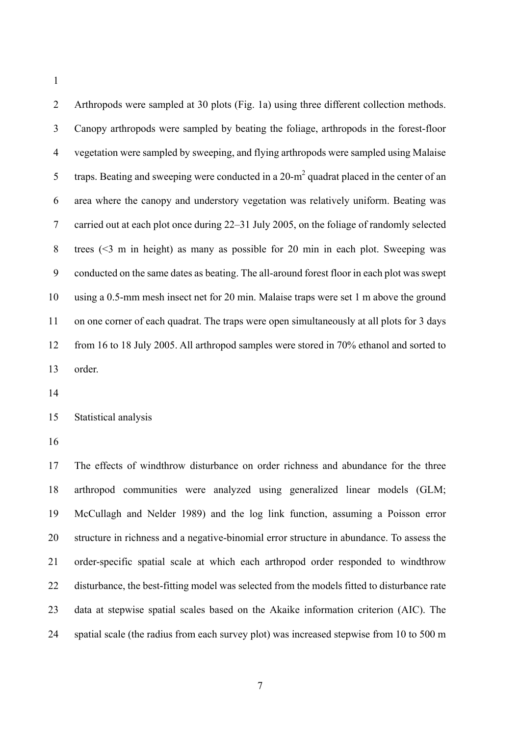2 3 4 5 6 7 8 9 10 11 12 13 Arthropods were sampled at 30 plots (Fig. 1a) using three different collection methods. Canopy arthropods were sampled by beating the foliage, arthropods in the forest-floor vegetation were sampled by sweeping, and flying arthropods were sampled using Malaise traps. Beating and sweeping were conducted in a 20-m<sup>2</sup> quadrat placed in the center of an area where the canopy and understory vegetation was relatively uniform. Beating was carried out at each plot once during 22–31 July 2005, on the foliage of randomly selected trees (<3 m in height) as many as possible for 20 min in each plot. Sweeping was conducted on the same dates as beating. The all-around forest floor in each plot was swept using a 0.5-mm mesh insect net for 20 min. Malaise traps were set 1 m above the ground on one corner of each quadrat. The traps were open simultaneously at all plots for 3 days from 16 to 18 July 2005. All arthropod samples were stored in 70% ethanol and sorted to order.

14

15 Statistical analysis

16

17 18 19 20 21 22 23 24 The effects of windthrow disturbance on order richness and abundance for the three arthropod communities were analyzed using generalized linear models (GLM; McCullagh and Nelder 1989) and the log link function, assuming a Poisson error structure in richness and a negative-binomial error structure in abundance. To assess the order-specific spatial scale at which each arthropod order responded to windthrow disturbance, the best-fitting model was selected from the models fitted to disturbance rate data at stepwise spatial scales based on the Akaike information criterion (AIC). The spatial scale (the radius from each survey plot) was increased stepwise from 10 to 500 m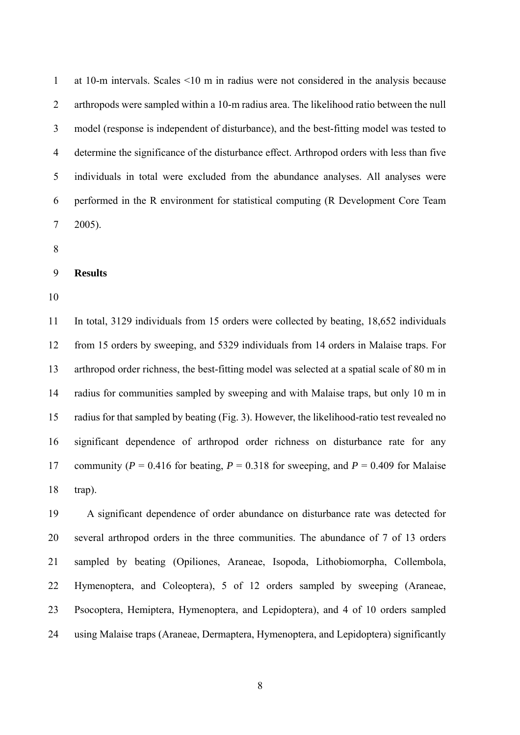1 2 3 4 5 6 7 at 10-m intervals. Scales <10 m in radius were not considered in the analysis because arthropods were sampled within a 10-m radius area. The likelihood ratio between the null model (response is independent of disturbance), and the best-fitting model was tested to determine the significance of the disturbance effect. Arthropod orders with less than five individuals in total were excluded from the abundance analyses. All analyses were performed in the R environment for statistical computing (R Development Core Team 2005).

- 8
- 9 **Results**
- 10

11 12 13 14 15 16 17 18 In total, 3129 individuals from 15 orders were collected by beating, 18,652 individuals from 15 orders by sweeping, and 5329 individuals from 14 orders in Malaise traps. For arthropod order richness, the best-fitting model was selected at a spatial scale of 80 m in radius for communities sampled by sweeping and with Malaise traps, but only 10 m in radius for that sampled by beating (Fig. 3). However, the likelihood-ratio test revealed no significant dependence of arthropod order richness on disturbance rate for any community ( $P = 0.416$  for beating,  $P = 0.318$  for sweeping, and  $P = 0.409$  for Malaise trap).

19 20 21 22 23 24 A significant dependence of order abundance on disturbance rate was detected for several arthropod orders in the three communities. The abundance of 7 of 13 orders sampled by beating (Opiliones, Araneae, Isopoda, Lithobiomorpha, Collembola, Hymenoptera, and Coleoptera), 5 of 12 orders sampled by sweeping (Araneae, Psocoptera, Hemiptera, Hymenoptera, and Lepidoptera), and 4 of 10 orders sampled using Malaise traps (Araneae, Dermaptera, Hymenoptera, and Lepidoptera) significantly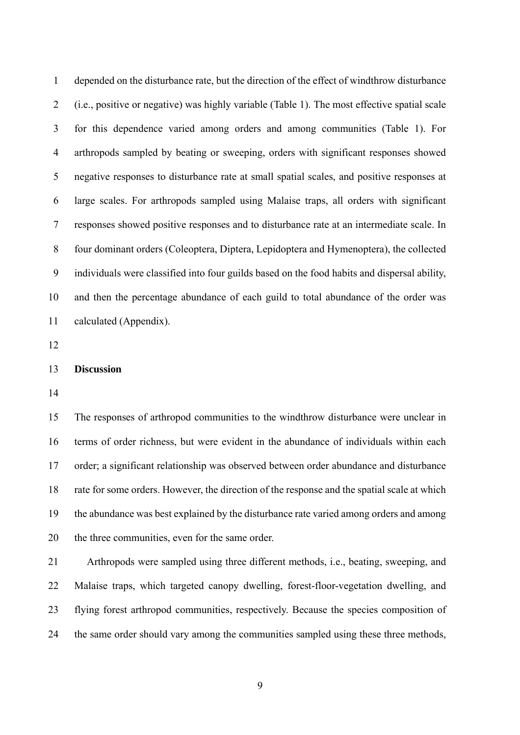1 2 3 4 5 6 7 8 9 10 11 depended on the disturbance rate, but the direction of the effect of windthrow disturbance (i.e., positive or negative) was highly variable (Table 1). The most effective spatial scale for this dependence varied among orders and among communities (Table 1). For arthropods sampled by beating or sweeping, orders with significant responses showed negative responses to disturbance rate at small spatial scales, and positive responses at large scales. For arthropods sampled using Malaise traps, all orders with significant responses showed positive responses and to disturbance rate at an intermediate scale. In four dominant orders (Coleoptera, Diptera, Lepidoptera and Hymenoptera), the collected individuals were classified into four guilds based on the food habits and dispersal ability, and then the percentage abundance of each guild to total abundance of the order was calculated (Appendix).

12

## 13 **Discussion**

14

15 16 17 18 19 20 The responses of arthropod communities to the windthrow disturbance were unclear in terms of order richness, but were evident in the abundance of individuals within each order; a significant relationship was observed between order abundance and disturbance rate for some orders. However, the direction of the response and the spatial scale at which the abundance was best explained by the disturbance rate varied among orders and among the three communities, even for the same order.

21 22 23 24 Arthropods were sampled using three different methods, i.e., beating, sweeping, and Malaise traps, which targeted canopy dwelling, forest-floor-vegetation dwelling, and flying forest arthropod communities, respectively. Because the species composition of the same order should vary among the communities sampled using these three methods,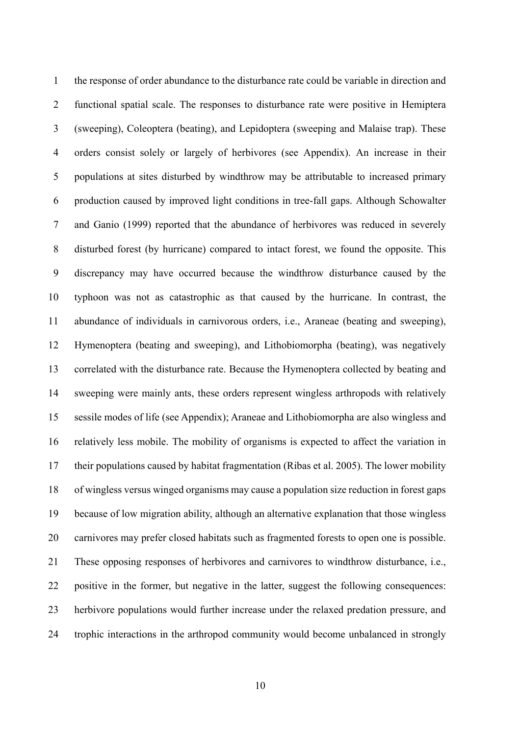the response of order abundance to the disturbance rate could be variable in direction and functional spatial scale. The responses to disturbance rate were positive in Hemiptera (sweeping), Coleoptera (beating), and Lepidoptera (sweeping and Malaise trap). These orders consist solely or largely of herbivores (see Appendix). An increase in their populations at sites disturbed by windthrow may be attributable to increased primary production caused by improved light conditions in tree-fall gaps. Although Schowalter and Ganio (1999) reported that the abundance of herbivores was reduced in severely disturbed forest (by hurricane) compared to intact forest, we found the opposite. This discrepancy may have occurred because the windthrow disturbance caused by the typhoon was not as catastrophic as that caused by the hurricane. In contrast, the abundance of individuals in carnivorous orders, i.e., Araneae (beating and sweeping), Hymenoptera (beating and sweeping), and Lithobiomorpha (beating), was negatively correlated with the disturbance rate. Because the Hymenoptera collected by beating and sweeping were mainly ants, these orders represent wingless arthropods with relatively sessile modes of life (see Appendix); Araneae and Lithobiomorpha are also wingless and relatively less mobile. The mobility of organisms is expected to affect the variation in their populations caused by habitat fragmentation (Ribas et al. 2005). The lower mobility of wingless versus winged organisms may cause a population size reduction in forest gaps because of low migration ability, although an alternative explanation that those wingless carnivores may prefer closed habitats such as fragmented forests to open one is possible. These opposing responses of herbivores and carnivores to windthrow disturbance, i.e., positive in the former, but negative in the latter, suggest the following consequences: herbivore populations would further increase under the relaxed predation pressure, and trophic interactions in the arthropod community would become unbalanced in strongly 1 2 3 4 5 6 7 8 9 10 11 12 13 14 15 16 17 18 19 20 21 22 23 24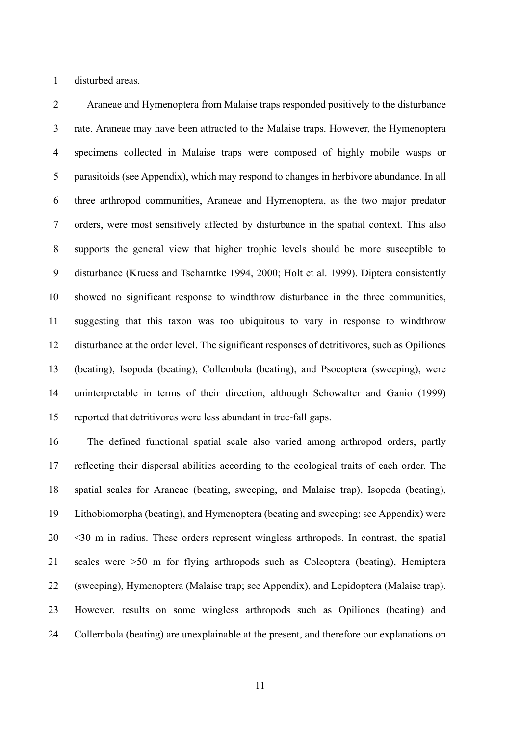1 disturbed areas.

2 3 4 5 6 7 8 9 10 11 12 13 14 15 Araneae and Hymenoptera from Malaise traps responded positively to the disturbance rate. Araneae may have been attracted to the Malaise traps. However, the Hymenoptera specimens collected in Malaise traps were composed of highly mobile wasps or parasitoids (see Appendix), which may respond to changes in herbivore abundance. In all three arthropod communities, Araneae and Hymenoptera, as the two major predator orders, were most sensitively affected by disturbance in the spatial context. This also supports the general view that higher trophic levels should be more susceptible to disturbance (Kruess and Tscharntke 1994, 2000; Holt et al. 1999). Diptera consistently showed no significant response to windthrow disturbance in the three communities, suggesting that this taxon was too ubiquitous to vary in response to windthrow disturbance at the order level. The significant responses of detritivores, such as Opiliones (beating), Isopoda (beating), Collembola (beating), and Psocoptera (sweeping), were uninterpretable in terms of their direction, although Schowalter and Ganio (1999) reported that detritivores were less abundant in tree-fall gaps.

16 17 18 19 20 21 22 23 24 The defined functional spatial scale also varied among arthropod orders, partly reflecting their dispersal abilities according to the ecological traits of each order. The spatial scales for Araneae (beating, sweeping, and Malaise trap), Isopoda (beating), Lithobiomorpha (beating), and Hymenoptera (beating and sweeping; see Appendix) were <30 m in radius. These orders represent wingless arthropods. In contrast, the spatial scales were >50 m for flying arthropods such as Coleoptera (beating), Hemiptera (sweeping), Hymenoptera (Malaise trap; see Appendix), and Lepidoptera (Malaise trap). However, results on some wingless arthropods such as Opiliones (beating) and Collembola (beating) are unexplainable at the present, and therefore our explanations on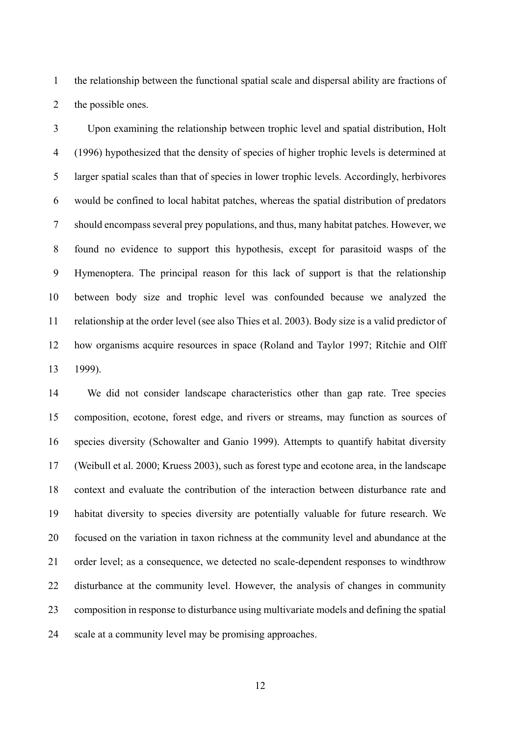1 2 the relationship between the functional spatial scale and dispersal ability are fractions of the possible ones.

3 4 5 6 7 8 9 10 11 12 13 Upon examining the relationship between trophic level and spatial distribution, Holt (1996) hypothesized that the density of species of higher trophic levels is determined at larger spatial scales than that of species in lower trophic levels. Accordingly, herbivores would be confined to local habitat patches, whereas the spatial distribution of predators should encompass several prey populations, and thus, many habitat patches. However, we found no evidence to support this hypothesis, except for parasitoid wasps of the Hymenoptera. The principal reason for this lack of support is that the relationship between body size and trophic level was confounded because we analyzed the relationship at the order level (see also Thies et al. 2003). Body size is a valid predictor of how organisms acquire resources in space (Roland and Taylor 1997; Ritchie and Olff 1999).

14 15 16 17 18 19 20 21 22 23 24 We did not consider landscape characteristics other than gap rate. Tree species composition, ecotone, forest edge, and rivers or streams, may function as sources of species diversity (Schowalter and Ganio 1999). Attempts to quantify habitat diversity (Weibull et al. 2000; Kruess 2003), such as forest type and ecotone area, in the landscape context and evaluate the contribution of the interaction between disturbance rate and habitat diversity to species diversity are potentially valuable for future research. We focused on the variation in taxon richness at the community level and abundance at the order level; as a consequence, we detected no scale-dependent responses to windthrow disturbance at the community level. However, the analysis of changes in community composition in response to disturbance using multivariate models and defining the spatial scale at a community level may be promising approaches.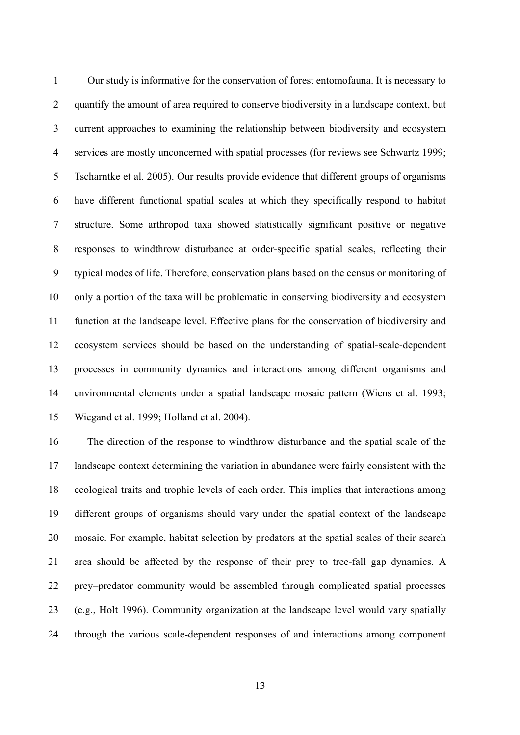1 2 3 4 5 6 7 8 9 10 11 12 13 14 15 Our study is informative for the conservation of forest entomofauna. It is necessary to quantify the amount of area required to conserve biodiversity in a landscape context, but current approaches to examining the relationship between biodiversity and ecosystem services are mostly unconcerned with spatial processes (for reviews see Schwartz 1999; Tscharntke et al. 2005). Our results provide evidence that different groups of organisms have different functional spatial scales at which they specifically respond to habitat structure. Some arthropod taxa showed statistically significant positive or negative responses to windthrow disturbance at order-specific spatial scales, reflecting their typical modes of life. Therefore, conservation plans based on the census or monitoring of only a portion of the taxa will be problematic in conserving biodiversity and ecosystem function at the landscape level. Effective plans for the conservation of biodiversity and ecosystem services should be based on the understanding of spatial-scale-dependent processes in community dynamics and interactions among different organisms and environmental elements under a spatial landscape mosaic pattern (Wiens et al. 1993; Wiegand et al. 1999; Holland et al. 2004).

16 17 18 19 20 21 22 23 24 The direction of the response to windthrow disturbance and the spatial scale of the landscape context determining the variation in abundance were fairly consistent with the ecological traits and trophic levels of each order. This implies that interactions among different groups of organisms should vary under the spatial context of the landscape mosaic. For example, habitat selection by predators at the spatial scales of their search area should be affected by the response of their prey to tree-fall gap dynamics. A prey–predator community would be assembled through complicated spatial processes (e.g., Holt 1996). Community organization at the landscape level would vary spatially through the various scale-dependent responses of and interactions among component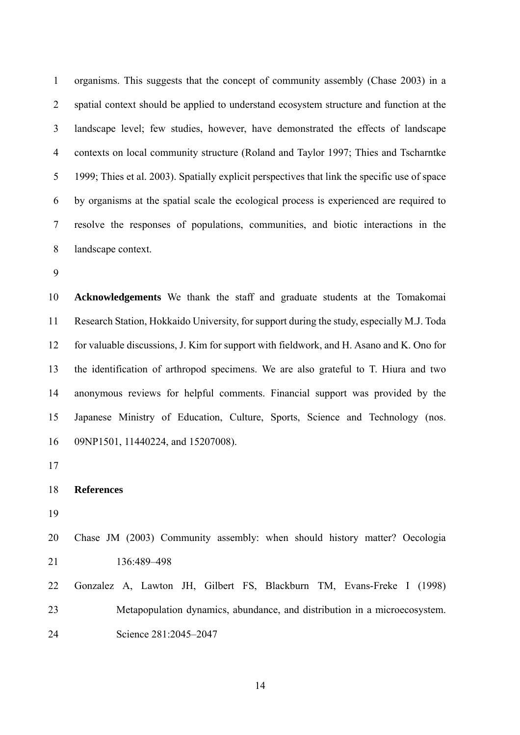1 2 3 4 5 6 7 8 organisms. This suggests that the concept of community assembly (Chase 2003) in a spatial context should be applied to understand ecosystem structure and function at the landscape level; few studies, however, have demonstrated the effects of landscape contexts on local community structure (Roland and Taylor 1997; Thies and Tscharntke 1999; Thies et al. 2003). Spatially explicit perspectives that link the specific use of space by organisms at the spatial scale the ecological process is experienced are required to resolve the responses of populations, communities, and biotic interactions in the landscape context.

9

10 11 12 13 14 15 16 **Acknowledgements** We thank the staff and graduate students at the Tomakomai Research Station, Hokkaido University, for support during the study, especially M.J. Toda for valuable discussions, J. Kim for support with fieldwork, and H. Asano and K. Ono for the identification of arthropod specimens. We are also grateful to T. Hiura and two anonymous reviews for helpful comments. Financial support was provided by the Japanese Ministry of Education, Culture, Sports, Science and Technology (nos. 09NP1501, 11440224, and 15207008).

17

```
18 
References
```
19

20 21 Chase JM (2003) Community assembly: when should history matter? Oecologia 136:489–498

22 23 24 Gonzalez A, Lawton JH, Gilbert FS, Blackburn TM, Evans-Freke I (1998) Metapopulation dynamics, abundance, and distribution in a microecosystem. Science 281:2045–2047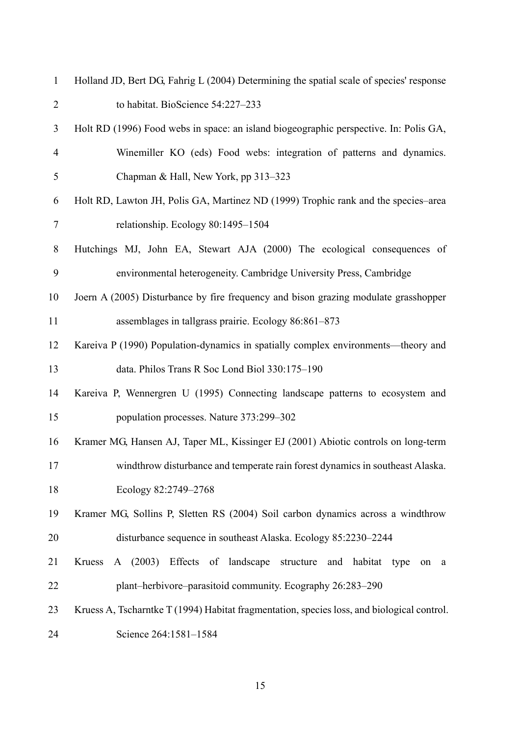| $\mathbf{1}$   | Holland JD, Bert DG, Fahrig L (2004) Determining the spatial scale of species' response    |
|----------------|--------------------------------------------------------------------------------------------|
| $\overline{2}$ | to habitat. BioScience 54:227-233                                                          |
| 3              | Holt RD (1996) Food webs in space: an island biogeographic perspective. In: Polis GA,      |
| $\overline{4}$ | Winemiller KO (eds) Food webs: integration of patterns and dynamics.                       |
| 5              | Chapman & Hall, New York, pp 313-323                                                       |
| 6              | Holt RD, Lawton JH, Polis GA, Martinez ND (1999) Trophic rank and the species–area         |
| 7              | relationship. Ecology 80:1495-1504                                                         |
| 8              | Hutchings MJ, John EA, Stewart AJA (2000) The ecological consequences of                   |
| 9              | environmental heterogeneity. Cambridge University Press, Cambridge                         |
| 10             | Joern A (2005) Disturbance by fire frequency and bison grazing modulate grasshopper        |
| 11             | assemblages in tallgrass prairie. Ecology 86:861-873                                       |
| 12             | Kareiva P (1990) Population-dynamics in spatially complex environments—theory and          |
| 13             | data. Philos Trans R Soc Lond Biol 330:175-190                                             |
| 14             | Kareiva P, Wennergren U (1995) Connecting landscape patterns to ecosystem and              |
| 15             | population processes. Nature 373:299-302                                                   |
| 16             | Kramer MG, Hansen AJ, Taper ML, Kissinger EJ (2001) Abiotic controls on long-term          |
| 17             | windthrow disturbance and temperate rain forest dynamics in southeast Alaska.              |
| 18             | Ecology 82:2749-2768                                                                       |
| 19             | Kramer MG, Sollins P, Sletten RS (2004) Soil carbon dynamics across a windthrow            |
| 20             | disturbance sequence in southeast Alaska. Ecology 85:2230–2244                             |
| 21             | A (2003) Effects of landscape structure and habitat type<br>Kruess<br>on<br>a              |
| 22             | plant-herbivore-parasitoid community. Ecography 26:283-290                                 |
| 23             | Kruess A, Tscharntke T (1994) Habitat fragmentation, species loss, and biological control. |
| 24             | Science 264:1581-1584                                                                      |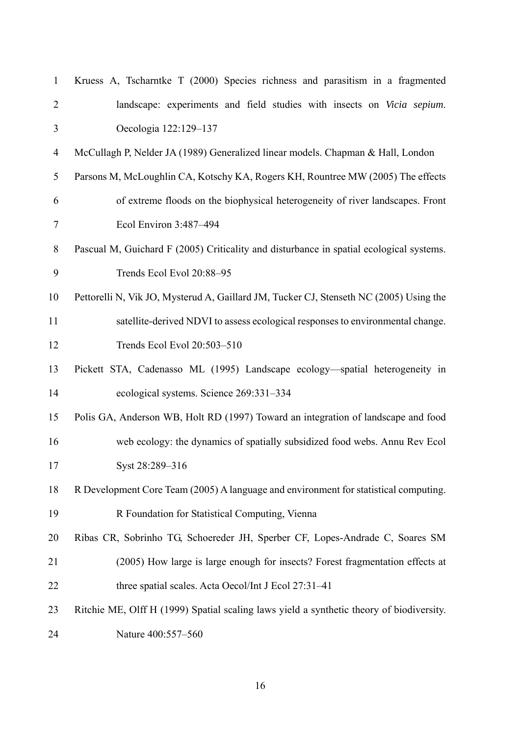| $\mathbf{1}$   | Kruess A, Tscharntke T (2000) Species richness and parasitism in a fragmented            |
|----------------|------------------------------------------------------------------------------------------|
| $\overline{2}$ | landscape: experiments and field studies with insects on Vicia sepium.                   |
| 3              | Oecologia 122:129-137                                                                    |
| $\overline{4}$ | McCullagh P, Nelder JA (1989) Generalized linear models. Chapman & Hall, London          |
| 5              | Parsons M, McLoughlin CA, Kotschy KA, Rogers KH, Rountree MW (2005) The effects          |
| 6              | of extreme floods on the biophysical heterogeneity of river landscapes. Front            |
| $\tau$         | Ecol Environ 3:487-494                                                                   |
| 8              | Pascual M, Guichard F (2005) Criticality and disturbance in spatial ecological systems.  |
| 9              | Trends Ecol Evol 20:88-95                                                                |
| 10             | Pettorelli N, Vik JO, Mysterud A, Gaillard JM, Tucker CJ, Stenseth NC (2005) Using the   |
| 11             | satellite-derived NDVI to assess ecological responses to environmental change.           |
| 12             | Trends Ecol Evol 20:503-510                                                              |
| 13             | Pickett STA, Cadenasso ML (1995) Landscape ecology-spatial heterogeneity in              |
| 14             | ecological systems. Science 269:331-334                                                  |
| 15             | Polis GA, Anderson WB, Holt RD (1997) Toward an integration of landscape and food        |
| 16             |                                                                                          |
|                | web ecology: the dynamics of spatially subsidized food webs. Annu Rev Ecol               |
| 17             | Syst 28:289-316                                                                          |
| 18             | R Development Core Team (2005) A language and environment for statistical computing.     |
| 19             | R Foundation for Statistical Computing, Vienna                                           |
| 20             | Ribas CR, Sobrinho TG, Schoereder JH, Sperber CF, Lopes-Andrade C, Soares SM             |
| 21             | (2005) How large is large enough for insects? Forest fragmentation effects at            |
| 22             | three spatial scales. Acta Oecol/Int J Ecol 27:31-41                                     |
| 23             | Ritchie ME, Olff H (1999) Spatial scaling laws yield a synthetic theory of biodiversity. |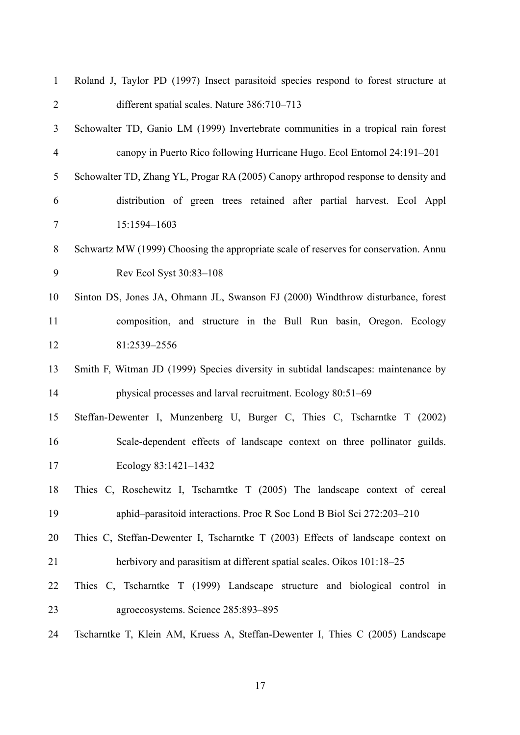| $\mathbf{1}$   | Roland J, Taylor PD (1997) Insect parasitoid species respond to forest structure at  |
|----------------|--------------------------------------------------------------------------------------|
| $\overline{2}$ | different spatial scales. Nature 386:710-713                                         |
| 3              | Schowalter TD, Ganio LM (1999) Invertebrate communities in a tropical rain forest    |
| $\overline{4}$ | canopy in Puerto Rico following Hurricane Hugo. Ecol Entomol 24:191-201              |
| 5              | Schowalter TD, Zhang YL, Progar RA (2005) Canopy arthropod response to density and   |
| 6              | distribution of green trees retained after partial harvest. Ecol Appl                |
| $\tau$         | 15:1594-1603                                                                         |
| 8              | Schwartz MW (1999) Choosing the appropriate scale of reserves for conservation. Annu |
| 9              | Rev Ecol Syst 30:83-108                                                              |
| 10             | Sinton DS, Jones JA, Ohmann JL, Swanson FJ (2000) Windthrow disturbance, forest      |
| 11             | composition, and structure in the Bull Run basin, Oregon. Ecology                    |
| 12             | 81:2539-2556                                                                         |
| 13             | Smith F, Witman JD (1999) Species diversity in subtidal landscapes: maintenance by   |
| 14             | physical processes and larval recruitment. Ecology 80:51–69                          |
| 15             | Steffan-Dewenter I, Munzenberg U, Burger C, Thies C, Tscharntke T (2002)             |
| 16             | Scale-dependent effects of landscape context on three pollinator guilds.             |
| 17             | Ecology 83:1421-1432                                                                 |
| 18             | Thies C, Roschewitz I, Tscharntke T (2005) The landscape context of cereal           |
| 19             | aphid-parasitoid interactions. Proc R Soc Lond B Biol Sci 272:203-210                |
| 20             | Thies C, Steffan-Dewenter I, Tscharntke T (2003) Effects of landscape context on     |
| 21             | herbivory and parasitism at different spatial scales. Oikos 101:18-25                |
| 22             | Thies C, Tscharntke T (1999) Landscape structure and biological control in           |
| 23             | agroecosystems. Science 285:893-895                                                  |
| 24             | Tscharntke T, Klein AM, Kruess A, Steffan-Dewenter I, Thies C (2005) Landscape       |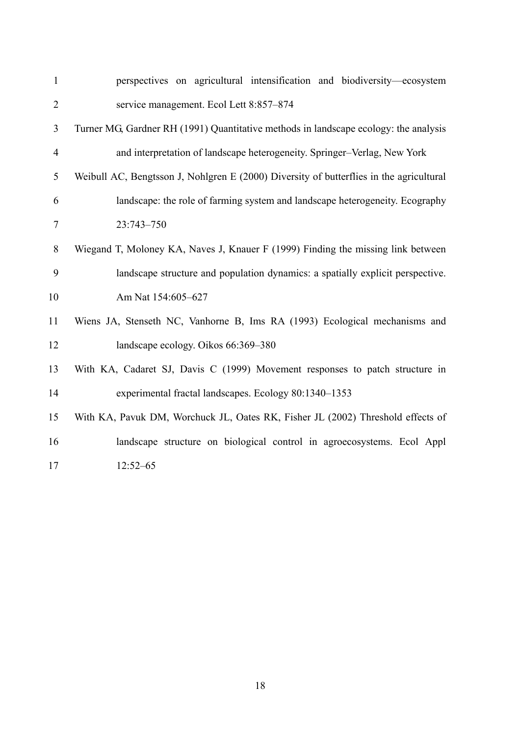| $\mathbf{1}$     | perspectives on agricultural intensification and biodiversity-ecosystem                 |
|------------------|-----------------------------------------------------------------------------------------|
| $\overline{2}$   | service management. Ecol Lett 8:857-874                                                 |
| 3                | Turner MG, Gardner RH (1991) Quantitative methods in landscape ecology: the analysis    |
| $\overline{4}$   | and interpretation of landscape heterogeneity. Springer-Verlag, New York                |
| 5                | Weibull AC, Bengtsson J, Nohlgren E (2000) Diversity of butterflies in the agricultural |
| 6                | landscape: the role of farming system and landscape heterogeneity. Ecography            |
| $\boldsymbol{7}$ | 23:743-750                                                                              |
| 8                | Wiegand T, Moloney KA, Naves J, Knauer F (1999) Finding the missing link between        |
| 9                | landscape structure and population dynamics: a spatially explicit perspective.          |
| 10               | Am Nat 154:605-627                                                                      |
| 11               | Wiens JA, Stenseth NC, Vanhorne B, Ims RA (1993) Ecological mechanisms and              |
| 12               | landscape ecology. Oikos 66:369-380                                                     |
| 13               | With KA, Cadaret SJ, Davis C (1999) Movement responses to patch structure in            |
| 14               | experimental fractal landscapes. Ecology 80:1340-1353                                   |
| 15               | With KA, Pavuk DM, Worchuck JL, Oates RK, Fisher JL (2002) Threshold effects of         |
| 16               | landscape structure on biological control in agroecosystems. Ecol Appl                  |
| 17               | $12:52 - 65$                                                                            |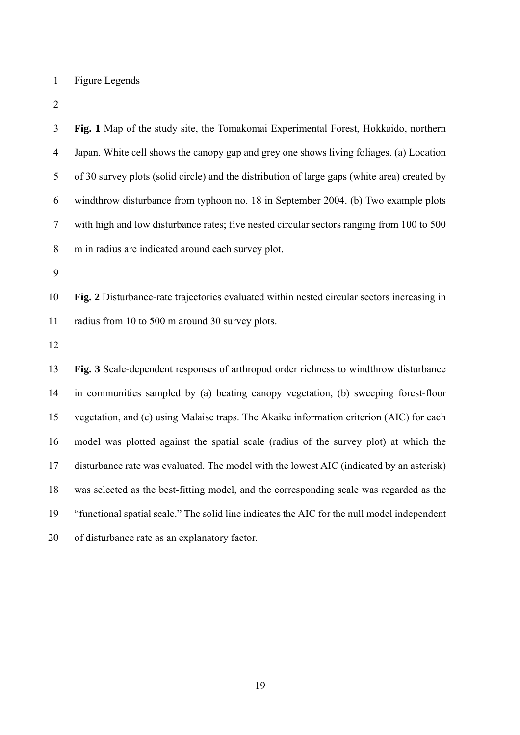1 Figure Legends

| $\mathfrak{Z}$ | Fig. 1 Map of the study site, the Tomakomai Experimental Forest, Hokkaido, northern          |
|----------------|----------------------------------------------------------------------------------------------|
| $\overline{4}$ | Japan. White cell shows the canopy gap and grey one shows living foliages. (a) Location      |
| $\mathfrak s$  | of 30 survey plots (solid circle) and the distribution of large gaps (white area) created by |
| 6              | windthrow disturbance from typhoon no. 18 in September 2004. (b) Two example plots           |
| $\tau$         | with high and low disturbance rates; five nested circular sectors ranging from 100 to 500    |
| 8              | m in radius are indicated around each survey plot.                                           |
| 9              |                                                                                              |
| 10             | Fig. 2 Disturbance-rate trajectories evaluated within nested circular sectors increasing in  |
| 11             | radius from 10 to 500 m around 30 survey plots.                                              |
| 12             |                                                                                              |
| 13             | Fig. 3 Scale-dependent responses of arthropod order richness to windthrow disturbance        |
| 14             | in communities sampled by (a) beating canopy vegetation, (b) sweeping forest-floor           |
| 15             | vegetation, and (c) using Malaise traps. The Akaike information criterion (AIC) for each     |
| 16             | model was plotted against the spatial scale (radius of the survey plot) at which the         |
| 17             | disturbance rate was evaluated. The model with the lowest AIC (indicated by an asterisk)     |
| 18             | was selected as the best-fitting model, and the corresponding scale was regarded as the      |
| 19             | "functional spatial scale." The solid line indicates the AIC for the null model independent  |
| 20             | of disturbance rate as an explanatory factor.                                                |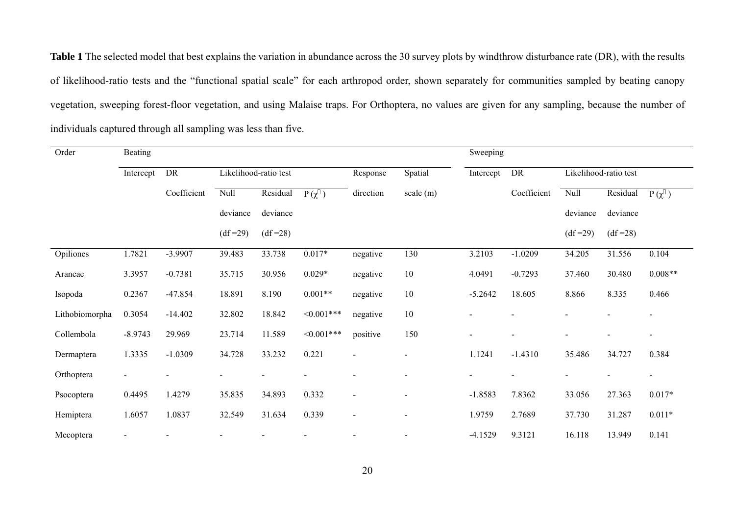**Table 1** The selected model that best explains the variation in abundance across the 30 survey plots by windthrow disturbance rate (DR), with the results of likelihood-ratio tests and the "functional spatial scale" for each arthropod order, shown separately for communities sampled by beating canopy vegetation, sweeping forest-floor vegetation, and using Malaise traps. For Orthoptera, no values are given for any sampling, because the number of individuals captured through all sampling was less than five.

| Order          | Beating                                  |             |             |           |               |                          |           |           | Sweeping    |                       |           |                          |  |
|----------------|------------------------------------------|-------------|-------------|-----------|---------------|--------------------------|-----------|-----------|-------------|-----------------------|-----------|--------------------------|--|
|                | DR<br>Likelihood-ratio test<br>Intercept |             |             |           | Response      |                          | Spatial   | Intercept | DR          | Likelihood-ratio test |           |                          |  |
|                |                                          | Coefficient | <b>Null</b> | Residual  | $P(\chi)$     | direction                | scale (m) |           | Coefficient | Null                  | Residual  | $P(\chi)$                |  |
|                |                                          |             | deviance    | deviance  |               |                          |           |           |             | deviance              | deviance  |                          |  |
|                |                                          |             | $(df=29)$   | $(df=28)$ |               |                          |           |           |             | $(df=29)$             | $(df=28)$ |                          |  |
| Opiliones      | 1.7821                                   | $-3.9907$   | 39.483      | 33.738    | $0.017*$      | negative                 | 130       | 3.2103    | $-1.0209$   | 34.205                | 31.556    | 0.104                    |  |
| Araneae        | 3.3957                                   | $-0.7381$   | 35.715      | 30.956    | $0.029*$      | negative                 | 10        | 4.0491    | $-0.7293$   | 37.460                | 30.480    | $0.008**$                |  |
| Isopoda        | 0.2367                                   | $-47.854$   | 18.891      | 8.190     | $0.001**$     | negative                 | $10\,$    | $-5.2642$ | 18.605      | 8.866                 | 8.335     | 0.466                    |  |
| Lithobiomorpha | 0.3054                                   | $-14.402$   | 32.802      | 18.842    | $<0.001***$   | negative                 | 10        |           |             |                       |           | $\blacksquare$           |  |
| Collembola     | $-8.9743$                                | 29.969      | 23.714      | 11.589    | $< 0.001$ *** | positive                 | 150       |           |             |                       |           | $\overline{\phantom{a}}$ |  |
| Dermaptera     | 1.3335                                   | $-1.0309$   | 34.728      | 33.232    | 0.221         | $\blacksquare$           |           | 1.1241    | $-1.4310$   | 35.486                | 34.727    | 0.384                    |  |
| Orthoptera     |                                          |             |             |           |               |                          |           |           |             |                       |           | $\overline{\phantom{a}}$ |  |
| Psocoptera     | 0.4495                                   | 1.4279      | 35.835      | 34.893    | 0.332         | $\overline{\phantom{a}}$ |           | $-1.8583$ | 7.8362      | 33.056                | 27.363    | $0.017*$                 |  |
| Hemiptera      | 1.6057                                   | 1.0837      | 32.549      | 31.634    | 0.339         | $\overline{\phantom{a}}$ |           | 1.9759    | 2.7689      | 37.730                | 31.287    | $0.011*$                 |  |
| Mecoptera      |                                          |             |             |           |               |                          |           | $-4.1529$ | 9.3121      | 16.118                | 13.949    | 0.141                    |  |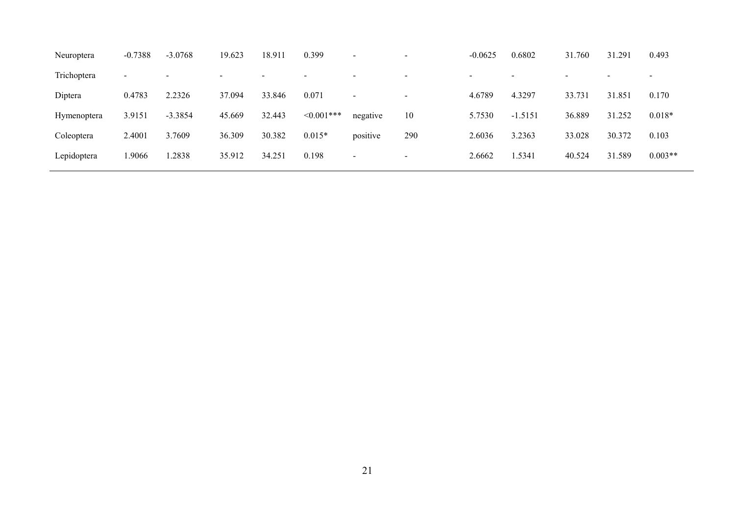| Neuroptera  | $-0.7388$                | $-3.0768$                | 19.623 | 18.911 | 0.399       | $\blacksquare$           | -                        | $-0.0625$                | 0.6802    | 31.760 | 31.291 | 0.493     |
|-------------|--------------------------|--------------------------|--------|--------|-------------|--------------------------|--------------------------|--------------------------|-----------|--------|--------|-----------|
| Trichoptera | $\overline{\phantom{a}}$ | $\overline{\phantom{0}}$ |        |        |             | -                        | $\,$                     | $\overline{\phantom{0}}$ |           |        |        | $\,$      |
| Diptera     | 0.4783                   | 2.2326                   | 37.094 | 33.846 | 0.071       | $\overline{\phantom{a}}$ | $\overline{\phantom{a}}$ | 4.6789                   | 4.3297    | 33.731 | 31.851 | 0.170     |
| Hymenoptera | 3.9151                   | $-3.3854$                | 45.669 | 32.443 | $<0.001***$ | negative                 | 10                       | 5.7530                   | $-1.5151$ | 36.889 | 31.252 | $0.018*$  |
| Coleoptera  | 2.4001                   | 3.7609                   | 36.309 | 30.382 | $0.015*$    | positive                 | 290                      | 2.6036                   | 3.2363    | 33.028 | 30.372 | 0.103     |
| Lepidoptera | .9066                    | .2838                    | 35.912 | 34.251 | 0.198       | $\sim$                   | $\,$                     | 2.6662                   | .5341     | 40.524 | 31.589 | $0.003**$ |
|             |                          |                          |        |        |             |                          |                          |                          |           |        |        |           |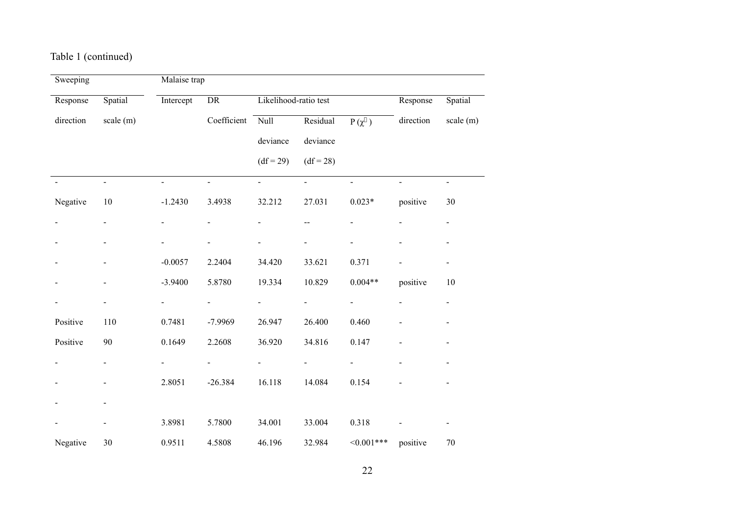## Table 1 (continued)

| Sweeping  |                          | Malaise trap             |                |                          |                          |                          |              |                          |  |
|-----------|--------------------------|--------------------------|----------------|--------------------------|--------------------------|--------------------------|--------------|--------------------------|--|
| Response  | Spatial                  | Intercept                | DR             | Likelihood-ratio test    |                          |                          | Response     | Spatial                  |  |
| direction | scale(m)                 |                          | Coefficient    | Null                     | Residual                 | $P(\chi)$                | direction    | scale $(m)$              |  |
|           |                          |                          |                | deviance                 | deviance                 |                          |              |                          |  |
|           |                          |                          |                | $(df = 29)$              | $(df = 28)$              |                          |              |                          |  |
|           | $\overline{a}$           | $\mathbf{r}$             | $\overline{a}$ | $\mathbf{r}$             | $\equiv$                 | $\overline{a}$           | $\mathbf{r}$ | $\overline{a}$           |  |
| Negative  | $10\,$                   | $-1.2430$                | 3.4938         | 32.212                   | 27.031                   | $0.023*$                 | positive     | 30                       |  |
|           |                          |                          |                |                          | $-$                      |                          |              | $\blacksquare$           |  |
|           |                          |                          |                |                          |                          | $\overline{a}$           |              | $\overline{\phantom{0}}$ |  |
|           |                          | $-0.0057$                | 2.2404         | 34.420                   | 33.621                   | 0.371                    |              | ÷.                       |  |
|           |                          | $-3.9400$                | 5.8780         | 19.334                   | 10.829                   | $0.004**$                | positive     | $10\,$                   |  |
|           | $\overline{\phantom{0}}$ | $\overline{\phantom{a}}$ |                | $\overline{a}$           | $\overline{\phantom{a}}$ | ÷,                       |              | $\blacksquare$           |  |
| Positive  | 110                      | 0.7481                   | -7.9969        | 26.947                   | 26.400                   | 0.460                    |              | $\overline{\phantom{0}}$ |  |
| Positive  | 90                       | 0.1649                   | 2.2608         | 36.920                   | 34.816                   | 0.147                    |              | $\blacksquare$           |  |
|           | $\overline{\phantom{0}}$ | $\overline{\phantom{0}}$ |                | $\overline{\phantom{0}}$ | $\overline{\phantom{0}}$ | $\overline{\phantom{0}}$ |              | $\blacksquare$           |  |
|           | $\overline{\phantom{0}}$ | 2.8051                   | $-26.384$      | 16.118                   | 14.084                   | 0.154                    |              | $\overline{\phantom{a}}$ |  |
|           |                          |                          |                |                          |                          |                          |              |                          |  |
|           | $\overline{\phantom{0}}$ | 3.8981                   | 5.7800         | 34.001                   | 33.004                   | 0.318                    |              | $\overline{\phantom{0}}$ |  |
| Negative  | 30                       | 0.9511                   | 4.5808         | 46.196                   | 32.984                   | $<0.001***$              | positive     | $70\,$                   |  |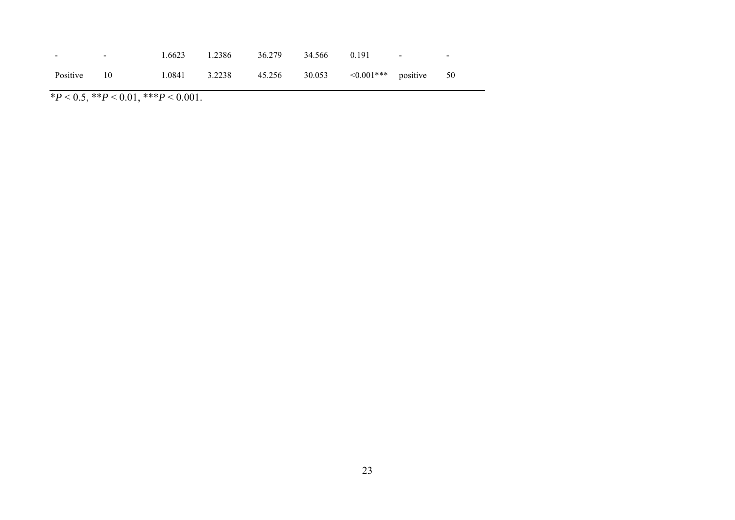| $\sim$      | $\sim$ | 1.6623 1.2386 36.279 34.566 0.191                                |  | <b>Service State</b> | $\overline{\phantom{0}}$ |
|-------------|--------|------------------------------------------------------------------|--|----------------------|--------------------------|
| Positive 10 |        | $1.0841$ $3.2238$ $45.256$ $30.053$ $\leq 0.001$ *** positive 50 |  |                      |                          |

 $*P < 0.5, **P < 0.01, **P < 0.001.$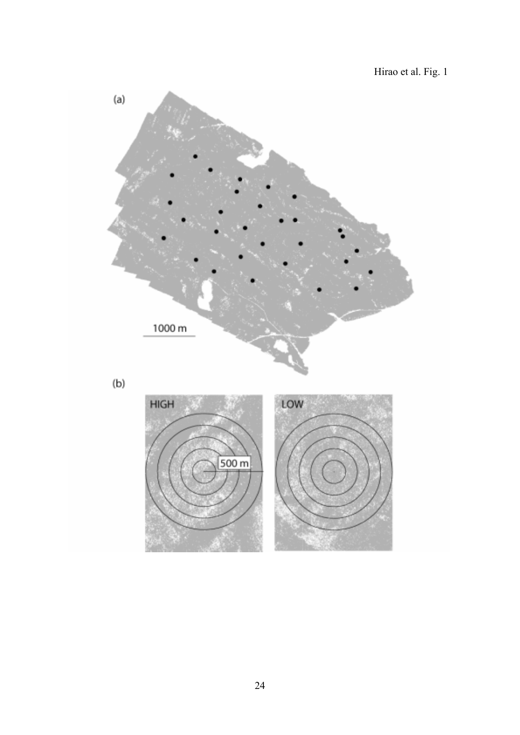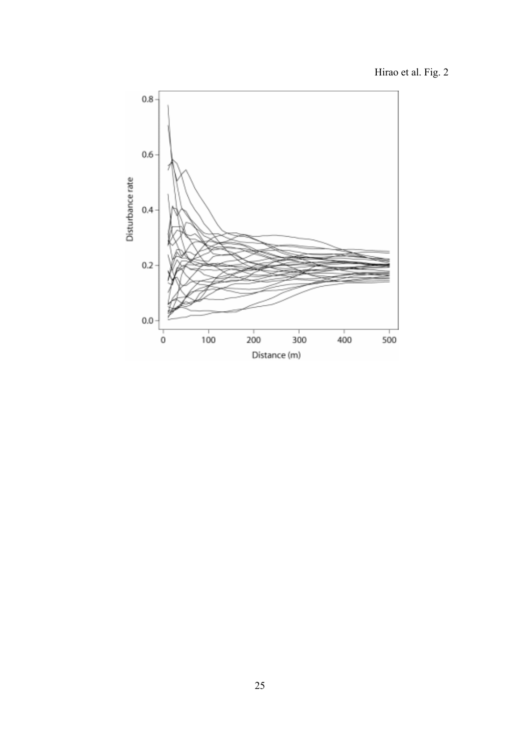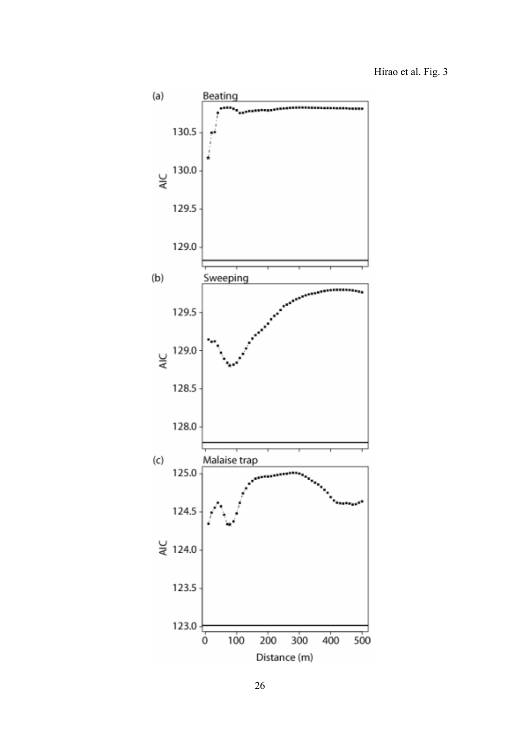